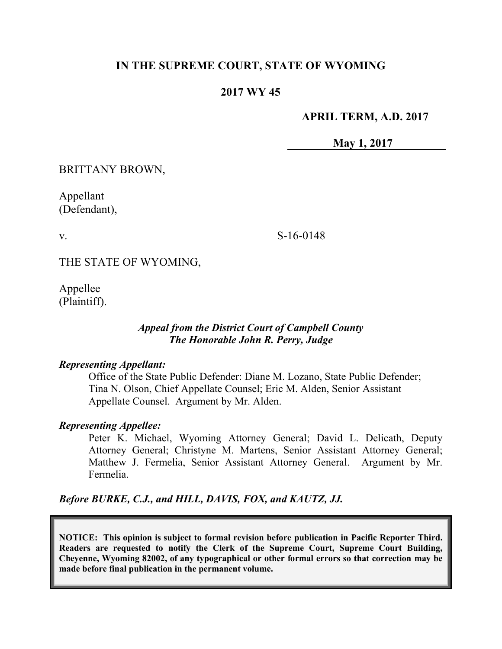## **IN THE SUPREME COURT, STATE OF WYOMING**

## **2017 WY 45**

## **APRIL TERM, A.D. 2017**

**May 1, 2017**

BRITTANY BROWN,

Appellant (Defendant),

v.

S-16-0148

THE STATE OF WYOMING,

Appellee (Plaintiff).

## *Appeal from the District Court of Campbell County The Honorable John R. Perry, Judge*

#### *Representing Appellant:*

Office of the State Public Defender: Diane M. Lozano, State Public Defender; Tina N. Olson, Chief Appellate Counsel; Eric M. Alden, Senior Assistant Appellate Counsel. Argument by Mr. Alden.

#### *Representing Appellee:*

Peter K. Michael, Wyoming Attorney General; David L. Delicath, Deputy Attorney General; Christyne M. Martens, Senior Assistant Attorney General; Matthew J. Fermelia, Senior Assistant Attorney General. Argument by Mr. Fermelia.

*Before BURKE, C.J., and HILL, DAVIS, FOX, and KAUTZ, JJ.*

**NOTICE: This opinion is subject to formal revision before publication in Pacific Reporter Third. Readers are requested to notify the Clerk of the Supreme Court, Supreme Court Building, Cheyenne, Wyoming 82002, of any typographical or other formal errors so that correction may be made before final publication in the permanent volume.**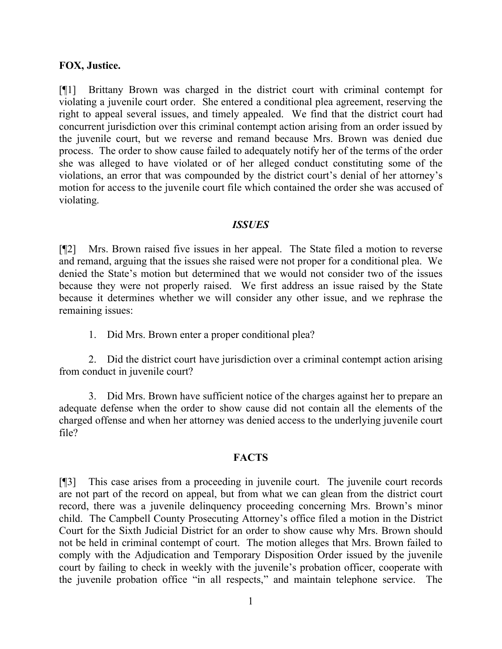#### **FOX, Justice.**

[¶1] Brittany Brown was charged in the district court with criminal contempt for violating a juvenile court order. She entered a conditional plea agreement, reserving the right to appeal several issues, and timely appealed. We find that the district court had concurrent jurisdiction over this criminal contempt action arising from an order issued by the juvenile court, but we reverse and remand because Mrs. Brown was denied due process. The order to show cause failed to adequately notify her of the terms of the order she was alleged to have violated or of her alleged conduct constituting some of the violations, an error that was compounded by the district court's denial of her attorney's motion for access to the juvenile court file which contained the order she was accused of violating.

#### *ISSUES*

[¶2] Mrs. Brown raised five issues in her appeal. The State filed a motion to reverse and remand, arguing that the issues she raised were not proper for a conditional plea. We denied the State's motion but determined that we would not consider two of the issues because they were not properly raised. We first address an issue raised by the State because it determines whether we will consider any other issue, and we rephrase the remaining issues:

1. Did Mrs. Brown enter a proper conditional plea?

2. Did the district court have jurisdiction over a criminal contempt action arising from conduct in juvenile court?

3. Did Mrs. Brown have sufficient notice of the charges against her to prepare an adequate defense when the order to show cause did not contain all the elements of the charged offense and when her attorney was denied access to the underlying juvenile court file?

#### **FACTS**

[¶3] This case arises from a proceeding in juvenile court. The juvenile court records are not part of the record on appeal, but from what we can glean from the district court record, there was a juvenile delinquency proceeding concerning Mrs. Brown's minor child. The Campbell County Prosecuting Attorney's office filed a motion in the District Court for the Sixth Judicial District for an order to show cause why Mrs. Brown should not be held in criminal contempt of court. The motion alleges that Mrs. Brown failed to comply with the Adjudication and Temporary Disposition Order issued by the juvenile court by failing to check in weekly with the juvenile's probation officer, cooperate with the juvenile probation office "in all respects," and maintain telephone service. The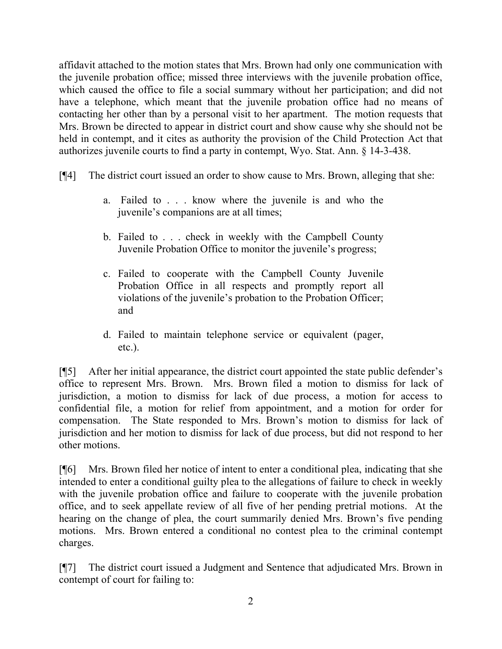affidavit attached to the motion states that Mrs. Brown had only one communication with the juvenile probation office; missed three interviews with the juvenile probation office, which caused the office to file a social summary without her participation; and did not have a telephone, which meant that the juvenile probation office had no means of contacting her other than by a personal visit to her apartment. The motion requests that Mrs. Brown be directed to appear in district court and show cause why she should not be held in contempt, and it cites as authority the provision of the Child Protection Act that authorizes juvenile courts to find a party in contempt, Wyo. Stat. Ann. § 14-3-438.

- [¶4] The district court issued an order to show cause to Mrs. Brown, alleging that she:
	- a. Failed to . . . know where the juvenile is and who the juvenile's companions are at all times;
	- b. Failed to . . . check in weekly with the Campbell County Juvenile Probation Office to monitor the juvenile's progress;
	- c. Failed to cooperate with the Campbell County Juvenile Probation Office in all respects and promptly report all violations of the juvenile's probation to the Probation Officer; and
	- d. Failed to maintain telephone service or equivalent (pager, etc.).

[¶5] After her initial appearance, the district court appointed the state public defender's office to represent Mrs. Brown. Mrs. Brown filed a motion to dismiss for lack of jurisdiction, a motion to dismiss for lack of due process, a motion for access to confidential file, a motion for relief from appointment, and a motion for order for compensation. The State responded to Mrs. Brown's motion to dismiss for lack of jurisdiction and her motion to dismiss for lack of due process, but did not respond to her other motions.

[¶6] Mrs. Brown filed her notice of intent to enter a conditional plea, indicating that she intended to enter a conditional guilty plea to the allegations of failure to check in weekly with the juvenile probation office and failure to cooperate with the juvenile probation office, and to seek appellate review of all five of her pending pretrial motions. At the hearing on the change of plea, the court summarily denied Mrs. Brown's five pending motions. Mrs. Brown entered a conditional no contest plea to the criminal contempt charges.

[¶7] The district court issued a Judgment and Sentence that adjudicated Mrs. Brown in contempt of court for failing to: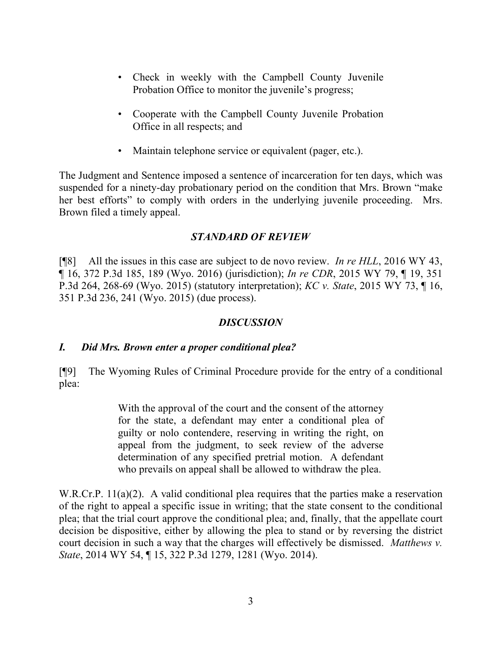- Check in weekly with the Campbell County Juvenile Probation Office to monitor the juvenile's progress;
- Cooperate with the Campbell County Juvenile Probation Office in all respects; and
- Maintain telephone service or equivalent (pager, etc.).

The Judgment and Sentence imposed a sentence of incarceration for ten days, which was suspended for a ninety-day probationary period on the condition that Mrs. Brown "make her best efforts" to comply with orders in the underlying juvenile proceeding. Mrs. Brown filed a timely appeal.

## *STANDARD OF REVIEW*

[¶8] All the issues in this case are subject to de novo review. *In re HLL*, 2016 WY 43, ¶ 16, 372 P.3d 185, 189 (Wyo. 2016) (jurisdiction); *In re CDR*, 2015 WY 79, ¶ 19, 351 P.3d 264, 268-69 (Wyo. 2015) (statutory interpretation); *KC v. State*, 2015 WY 73, ¶ 16, 351 P.3d 236, 241 (Wyo. 2015) (due process).

## *DISCUSSION*

# *I. Did Mrs. Brown enter a proper conditional plea?*

[¶9] The Wyoming Rules of Criminal Procedure provide for the entry of a conditional plea:

> With the approval of the court and the consent of the attorney for the state, a defendant may enter a conditional plea of guilty or nolo contendere, reserving in writing the right, on appeal from the judgment, to seek review of the adverse determination of any specified pretrial motion. A defendant who prevails on appeal shall be allowed to withdraw the plea.

W.R.Cr.P. 11(a)(2). A valid conditional plea requires that the parties make a reservation of the right to appeal a specific issue in writing; that the state consent to the conditional plea; that the trial court approve the conditional plea; and, finally, that the appellate court decision be dispositive, either by allowing the plea to stand or by reversing the district court decision in such a way that the charges will effectively be dismissed. *Matthews v. State*, 2014 WY 54, ¶ 15, 322 P.3d 1279, 1281 (Wyo. 2014).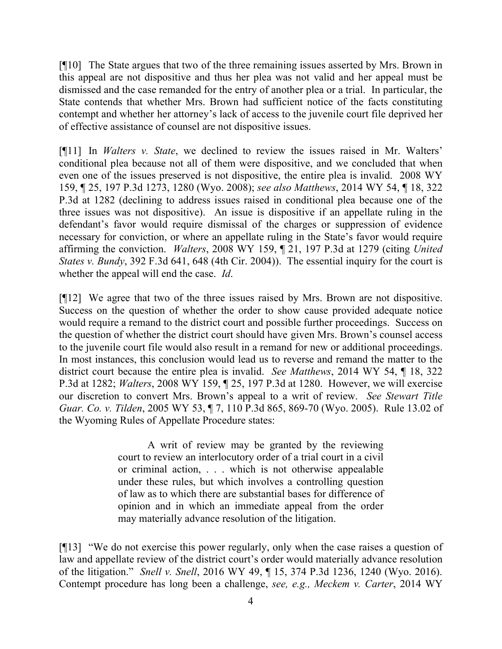[¶10] The State argues that two of the three remaining issues asserted by Mrs. Brown in this appeal are not dispositive and thus her plea was not valid and her appeal must be dismissed and the case remanded for the entry of another plea or a trial. In particular, the State contends that whether Mrs. Brown had sufficient notice of the facts constituting contempt and whether her attorney's lack of access to the juvenile court file deprived her of effective assistance of counsel are not dispositive issues.

[¶11] In *Walters v. State*, we declined to review the issues raised in Mr. Walters' conditional plea because not all of them were dispositive, and we concluded that when even one of the issues preserved is not dispositive, the entire plea is invalid. 2008 WY 159, ¶ 25, 197 P.3d 1273, 1280 (Wyo. 2008); *see also Matthews*, 2014 WY 54, ¶ 18, 322 P.3d at 1282 (declining to address issues raised in conditional plea because one of the three issues was not dispositive). An issue is dispositive if an appellate ruling in the defendant's favor would require dismissal of the charges or suppression of evidence necessary for conviction, or where an appellate ruling in the State's favor would require affirming the conviction. *Walters*, 2008 WY 159, ¶ 21, 197 P.3d at 1279 (citing *United States v. Bundy*, 392 F.3d 641, 648 (4th Cir. 2004)). The essential inquiry for the court is whether the appeal will end the case. *Id*.

[¶12] We agree that two of the three issues raised by Mrs. Brown are not dispositive. Success on the question of whether the order to show cause provided adequate notice would require a remand to the district court and possible further proceedings. Success on the question of whether the district court should have given Mrs. Brown's counsel access to the juvenile court file would also result in a remand for new or additional proceedings. In most instances, this conclusion would lead us to reverse and remand the matter to the district court because the entire plea is invalid. *See Matthews*, 2014 WY 54, ¶ 18, 322 P.3d at 1282; *Walters*, 2008 WY 159, ¶ 25, 197 P.3d at 1280. However, we will exercise our discretion to convert Mrs. Brown's appeal to a writ of review. *See Stewart Title Guar. Co. v. Tilden*, 2005 WY 53, ¶ 7, 110 P.3d 865, 869-70 (Wyo. 2005). Rule 13.02 of the Wyoming Rules of Appellate Procedure states:

> A writ of review may be granted by the reviewing court to review an interlocutory order of a trial court in a civil or criminal action, . . . which is not otherwise appealable under these rules, but which involves a controlling question of law as to which there are substantial bases for difference of opinion and in which an immediate appeal from the order may materially advance resolution of the litigation.

[¶13] "We do not exercise this power regularly, only when the case raises a question of law and appellate review of the district court's order would materially advance resolution of the litigation." *Snell v. Snell*, 2016 WY 49, ¶ 15, 374 P.3d 1236, 1240 (Wyo. 2016). Contempt procedure has long been a challenge, *see, e.g., Meckem v. Carter*, 2014 WY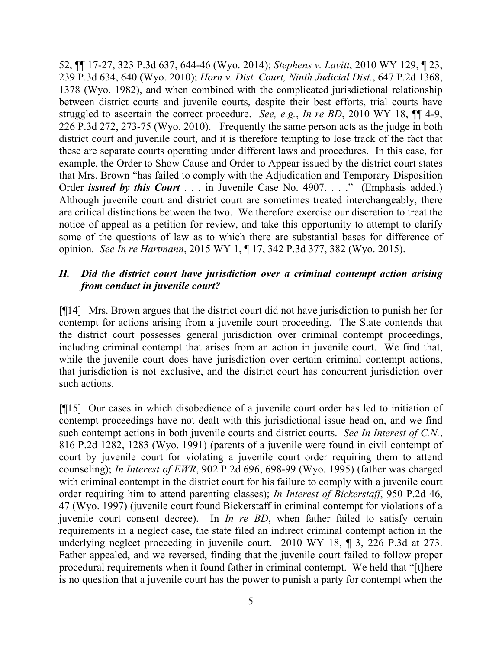52, ¶¶ 17-27, 323 P.3d 637, 644-46 (Wyo. 2014); *Stephens v. Lavitt*, 2010 WY 129, ¶ 23, 239 P.3d 634, 640 (Wyo. 2010); *Horn v. Dist. Court, Ninth Judicial Dist.*, 647 P.2d 1368, 1378 (Wyo. 1982), and when combined with the complicated jurisdictional relationship between district courts and juvenile courts, despite their best efforts, trial courts have struggled to ascertain the correct procedure. *See, e.g.*, *In re BD*, 2010 WY 18, ¶¶ 4-9, 226 P.3d 272, 273-75 (Wyo. 2010). Frequently the same person acts as the judge in both district court and juvenile court, and it is therefore tempting to lose track of the fact that these are separate courts operating under different laws and procedures. In this case, for example, the Order to Show Cause and Order to Appear issued by the district court states that Mrs. Brown "has failed to comply with the Adjudication and Temporary Disposition Order *issued by this Court* . . . in Juvenile Case No. 4907. . . ." (Emphasis added.) Although juvenile court and district court are sometimes treated interchangeably, there are critical distinctions between the two. We therefore exercise our discretion to treat the notice of appeal as a petition for review, and take this opportunity to attempt to clarify some of the questions of law as to which there are substantial bases for difference of opinion. *See In re Hartmann*, 2015 WY 1, ¶ 17, 342 P.3d 377, 382 (Wyo. 2015).

### *II. Did the district court have jurisdiction over a criminal contempt action arising from conduct in juvenile court?*

[¶14] Mrs. Brown argues that the district court did not have jurisdiction to punish her for contempt for actions arising from a juvenile court proceeding. The State contends that the district court possesses general jurisdiction over criminal contempt proceedings, including criminal contempt that arises from an action in juvenile court. We find that, while the juvenile court does have jurisdiction over certain criminal contempt actions, that jurisdiction is not exclusive, and the district court has concurrent jurisdiction over such actions.

[¶15] Our cases in which disobedience of a juvenile court order has led to initiation of contempt proceedings have not dealt with this jurisdictional issue head on, and we find such contempt actions in both juvenile courts and district courts. *See In Interest of C.N.*, 816 P.2d 1282, 1283 (Wyo. 1991) (parents of a juvenile were found in civil contempt of court by juvenile court for violating a juvenile court order requiring them to attend counseling); *In Interest of EWR*, 902 P.2d 696, 698-99 (Wyo. 1995) (father was charged with criminal contempt in the district court for his failure to comply with a juvenile court order requiring him to attend parenting classes); *In Interest of Bickerstaff*, 950 P.2d 46, 47 (Wyo. 1997) (juvenile court found Bickerstaff in criminal contempt for violations of a juvenile court consent decree). In *In re BD*, when father failed to satisfy certain requirements in a neglect case, the state filed an indirect criminal contempt action in the underlying neglect proceeding in juvenile court. 2010 WY 18, ¶ 3, 226 P.3d at 273. Father appealed, and we reversed, finding that the juvenile court failed to follow proper procedural requirements when it found father in criminal contempt. We held that "[t]here is no question that a juvenile court has the power to punish a party for contempt when the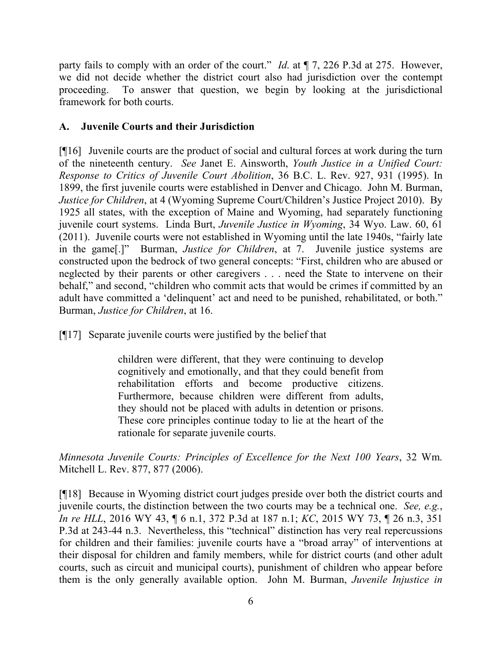party fails to comply with an order of the court." *Id*. at ¶ 7, 226 P.3d at 275. However, we did not decide whether the district court also had jurisdiction over the contempt proceeding. To answer that question, we begin by looking at the jurisdictional framework for both courts.

# **A. Juvenile Courts and their Jurisdiction**

[¶16] Juvenile courts are the product of social and cultural forces at work during the turn of the nineteenth century. *See* Janet E. Ainsworth, *Youth Justice in a Unified Court: Response to Critics of Juvenile Court Abolition*, 36 B.C. L. Rev. 927, 931 (1995). In 1899, the first juvenile courts were established in Denver and Chicago. John M. Burman, *Justice for Children*, at 4 (Wyoming Supreme Court/Children's Justice Project 2010). By 1925 all states, with the exception of Maine and Wyoming, had separately functioning juvenile court systems. Linda Burt, *Juvenile Justice in Wyoming*, 34 Wyo. Law. 60, 61 (2011). Juvenile courts were not established in Wyoming until the late 1940s, "fairly late in the game[.]" Burman, *Justice for Children*, at 7. Juvenile justice systems are constructed upon the bedrock of two general concepts: "First, children who are abused or neglected by their parents or other caregivers . . . need the State to intervene on their behalf," and second, "children who commit acts that would be crimes if committed by an adult have committed a 'delinquent' act and need to be punished, rehabilitated, or both." Burman, *Justice for Children*, at 16.

[¶17] Separate juvenile courts were justified by the belief that

children were different, that they were continuing to develop cognitively and emotionally, and that they could benefit from rehabilitation efforts and become productive citizens. Furthermore, because children were different from adults, they should not be placed with adults in detention or prisons. These core principles continue today to lie at the heart of the rationale for separate juvenile courts.

*Minnesota Juvenile Courts: Principles of Excellence for the Next 100 Years*, 32 Wm. Mitchell L. Rev. 877, 877 (2006).

[¶18] Because in Wyoming district court judges preside over both the district courts and juvenile courts, the distinction between the two courts may be a technical one. *See, e.g.*, *In re HLL*, 2016 WY 43, ¶ 6 n.1, 372 P.3d at 187 n.1; *KC*, 2015 WY 73, ¶ 26 n.3, 351 P.3d at 243-44 n.3. Nevertheless, this "technical" distinction has very real repercussions for children and their families: juvenile courts have a "broad array" of interventions at their disposal for children and family members, while for district courts (and other adult courts, such as circuit and municipal courts), punishment of children who appear before them is the only generally available option. John M. Burman, *Juvenile Injustice in*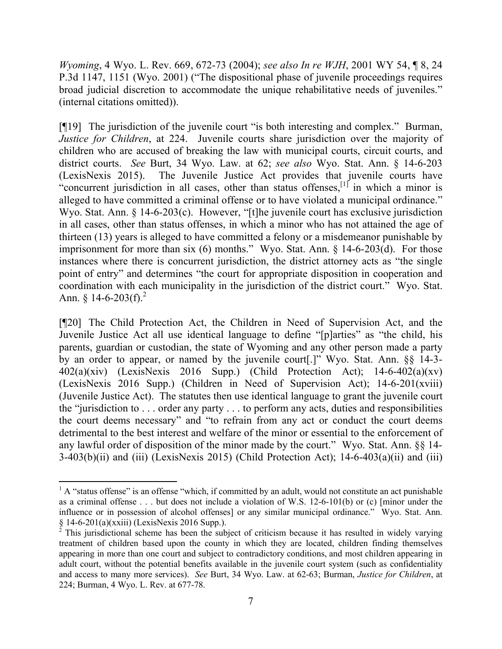*Wyoming*, 4 Wyo. L. Rev. 669, 672-73 (2004); *see also In re WJH*, 2001 WY 54, ¶ 8, 24 P.3d 1147, 1151 (Wyo. 2001) ("The dispositional phase of juvenile proceedings requires broad judicial discretion to accommodate the unique rehabilitative needs of juveniles." (internal citations omitted)).

[¶19] The jurisdiction of the juvenile court "is both interesting and complex." Burman, *Justice for Children*, at 224. Juvenile courts share jurisdiction over the majority of children who are accused of breaking the law with municipal courts, circuit courts, and district courts. *See* Burt, 34 Wyo. Law. at 62; *see also* Wyo. Stat. Ann. § 14-6-203 (LexisNexis 2015). The Juvenile Justice Act provides that juvenile courts have "concurrent jurisdiction in all cases, other than status offenses,  $\left[1\right]$  in which a minor is alleged to have committed a criminal offense or to have violated a municipal ordinance." Wyo. Stat. Ann. § 14-6-203(c). However, "[t]he juvenile court has exclusive jurisdiction in all cases, other than status offenses, in which a minor who has not attained the age of thirteen (13) years is alleged to have committed a felony or a misdemeanor punishable by imprisonment for more than six (6) months." Wyo. Stat. Ann. § 14-6-203(d). For those instances where there is concurrent jurisdiction, the district attorney acts as "the single point of entry" and determines "the court for appropriate disposition in cooperation and coordination with each municipality in the jurisdiction of the district court." Wyo. Stat. Ann.  $§$  14-6-203(f).<sup>2</sup>

[¶20] The Child Protection Act, the Children in Need of Supervision Act, and the Juvenile Justice Act all use identical language to define "[p]arties" as "the child, his parents, guardian or custodian, the state of Wyoming and any other person made a party by an order to appear, or named by the juvenile court[.]" Wyo. Stat. Ann. §§ 14-3-  $402(a)(xiv)$  (LexisNexis 2016 Supp.) (Child Protection Act); 14-6-402(a)(xv) (LexisNexis 2016 Supp.) (Children in Need of Supervision Act); 14-6-201(xviii) (Juvenile Justice Act). The statutes then use identical language to grant the juvenile court the "jurisdiction to . . . order any party . . . to perform any acts, duties and responsibilities the court deems necessary" and "to refrain from any act or conduct the court deems detrimental to the best interest and welfare of the minor or essential to the enforcement of any lawful order of disposition of the minor made by the court." Wyo. Stat. Ann. §§ 14-  $3-403(b)(ii)$  and (iii) (LexisNexis 2015) (Child Protection Act);  $14-6-403(a)(ii)$  and (iii)

 $1$  A "status offense" is an offense "which, if committed by an adult, would not constitute an act punishable as a criminal offense . . . but does not include a violation of W.S. 12-6-101(b) or (c) [minor under the influence or in possession of alcohol offenses] or any similar municipal ordinance." Wyo. Stat. Ann.  $\S$  14-6-201(a)(xxiii) (LexisNexis 2016 Supp.).

<sup>2</sup> This jurisdictional scheme has been the subject of criticism because it has resulted in widely varying treatment of children based upon the county in which they are located, children finding themselves appearing in more than one court and subject to contradictory conditions, and most children appearing in adult court, without the potential benefits available in the juvenile court system (such as confidentiality and access to many more services). *See* Burt, 34 Wyo. Law. at 62-63; Burman, *Justice for Children*, at 224; Burman, 4 Wyo. L. Rev. at 677-78.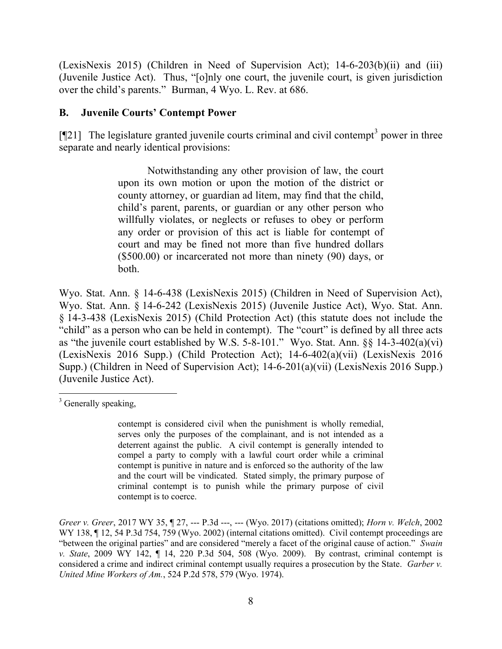(LexisNexis 2015) (Children in Need of Supervision Act); 14-6-203(b)(ii) and (iii) (Juvenile Justice Act). Thus, "[o]nly one court, the juvenile court, is given jurisdiction over the child's parents." Burman, 4 Wyo. L. Rev. at 686.

#### **B. Juvenile Courts' Contempt Power**

[ $[121]$  The legislature granted juvenile courts criminal and civil contempt<sup>3</sup> power in three separate and nearly identical provisions:

> Notwithstanding any other provision of law, the court upon its own motion or upon the motion of the district or county attorney, or guardian ad litem, may find that the child, child's parent, parents, or guardian or any other person who willfully violates, or neglects or refuses to obey or perform any order or provision of this act is liable for contempt of court and may be fined not more than five hundred dollars (\$500.00) or incarcerated not more than ninety (90) days, or both.

Wyo. Stat. Ann. § 14-6-438 (LexisNexis 2015) (Children in Need of Supervision Act), Wyo. Stat. Ann. § 14-6-242 (LexisNexis 2015) (Juvenile Justice Act), Wyo. Stat. Ann. § 14-3-438 (LexisNexis 2015) (Child Protection Act) (this statute does not include the "child" as a person who can be held in contempt). The "court" is defined by all three acts as "the juvenile court established by W.S. 5-8-101." Wyo. Stat. Ann. §§ 14-3-402(a)(vi) (LexisNexis 2016 Supp.) (Child Protection Act); 14-6-402(a)(vii) (LexisNexis 2016 Supp.) (Children in Need of Supervision Act); 14-6-201(a)(vii) (LexisNexis 2016 Supp.) (Juvenile Justice Act).

 $3$  Generally speaking,

contempt is considered civil when the punishment is wholly remedial, serves only the purposes of the complainant, and is not intended as a deterrent against the public. A civil contempt is generally intended to compel a party to comply with a lawful court order while a criminal contempt is punitive in nature and is enforced so the authority of the law and the court will be vindicated. Stated simply, the primary purpose of criminal contempt is to punish while the primary purpose of civil contempt is to coerce.

*Greer v. Greer*, 2017 WY 35, ¶ 27, --- P.3d ---, --- (Wyo. 2017) (citations omitted); *Horn v. Welch*, 2002 WY 138,  $\P$  12, 54 P.3d 754, 759 (Wyo. 2002) (internal citations omitted). Civil contempt proceedings are "between the original parties" and are considered "merely a facet of the original cause of action." *Swain v. State*, 2009 WY 142, ¶ 14, 220 P.3d 504, 508 (Wyo. 2009). By contrast, criminal contempt is considered a crime and indirect criminal contempt usually requires a prosecution by the State. *Garber v. United Mine Workers of Am.*, 524 P.2d 578, 579 (Wyo. 1974).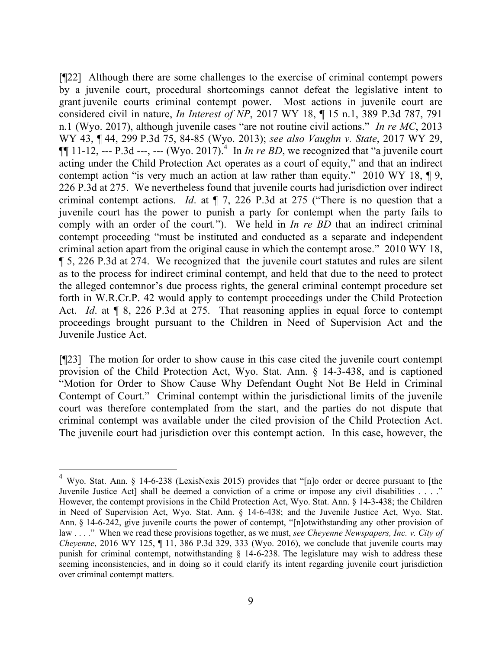[¶22] Although there are some challenges to the exercise of criminal contempt powers by a juvenile court, procedural shortcomings cannot defeat the legislative intent to grant juvenile courts criminal contempt power. Most actions in juvenile court are considered civil in nature, *In Interest of NP*, 2017 WY 18, ¶ 15 n.1, 389 P.3d 787, 791 n.1 (Wyo. 2017), although juvenile cases "are not routine civil actions." *In re MC*, 2013 WY 43, ¶ 44, 299 P.3d 75, 84-85 (Wyo. 2013); *see also Vaughn v. State*, 2017 WY 29,  $\P\P$  11-12, --- P.3d ---, --- (Wyo. 2017).<sup>4</sup> In *In re BD*, we recognized that "a juvenile court" acting under the Child Protection Act operates as a court of equity," and that an indirect contempt action "is very much an action at law rather than equity." 2010 WY 18, ¶ 9, 226 P.3d at 275. We nevertheless found that juvenile courts had jurisdiction over indirect criminal contempt actions. *Id*. at ¶ 7, 226 P.3d at 275 ("There is no question that a juvenile court has the power to punish a party for contempt when the party fails to comply with an order of the court*.*"). We held in *In re BD* that an indirect criminal contempt proceeding "must be instituted and conducted as a separate and independent criminal action apart from the original cause in which the contempt arose." 2010 WY 18, ¶ 5, 226 P.3d at 274. We recognized that the juvenile court statutes and rules are silent as to the process for indirect criminal contempt, and held that due to the need to protect the alleged contemnor's due process rights, the general criminal contempt procedure set forth in W.R.Cr.P. 42 would apply to contempt proceedings under the Child Protection Act. *Id.* at  $\llbracket 8, 226 \text{ P.3d at } 275$ . That reasoning applies in equal force to contempt proceedings brought pursuant to the Children in Need of Supervision Act and the Juvenile Justice Act.

[¶23] The motion for order to show cause in this case cited the juvenile court contempt provision of the Child Protection Act, Wyo. Stat. Ann. § 14-3-438, and is captioned "Motion for Order to Show Cause Why Defendant Ought Not Be Held in Criminal Contempt of Court." Criminal contempt within the jurisdictional limits of the juvenile court was therefore contemplated from the start, and the parties do not dispute that criminal contempt was available under the cited provision of the Child Protection Act. The juvenile court had jurisdiction over this contempt action. In this case, however, the

<sup>4</sup> Wyo. Stat. Ann. § 14-6-238 (LexisNexis 2015) provides that "[n]o order or decree pursuant to [the Juvenile Justice Act] shall be deemed a conviction of a crime or impose any civil disabilities . . . ." However, the contempt provisions in the Child Protection Act, Wyo. Stat. Ann. § 14-3-438; the Children in Need of Supervision Act, Wyo. Stat. Ann. § 14-6-438; and the Juvenile Justice Act, Wyo. Stat. Ann. § 14-6-242, give juvenile courts the power of contempt, "[n]otwithstanding any other provision of law . . . ." When we read these provisions together, as we must, *see Cheyenne Newspapers, Inc. v. City of Cheyenne*, 2016 WY 125, ¶ 11, 386 P.3d 329, 333 (Wyo. 2016), we conclude that juvenile courts may punish for criminal contempt, notwithstanding § 14-6-238. The legislature may wish to address these seeming inconsistencies, and in doing so it could clarify its intent regarding juvenile court jurisdiction over criminal contempt matters.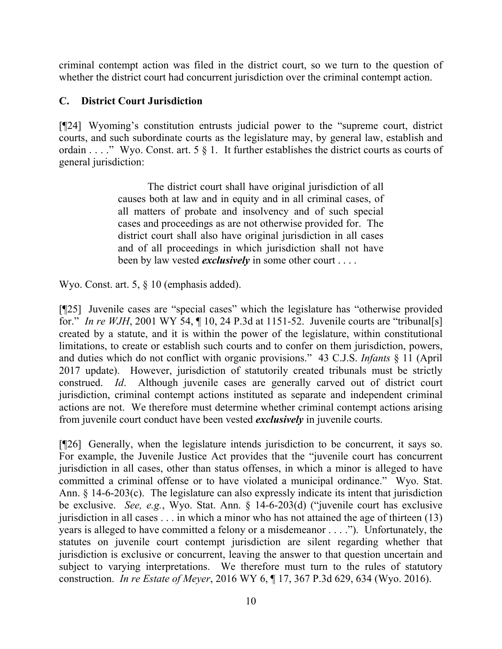criminal contempt action was filed in the district court, so we turn to the question of whether the district court had concurrent jurisdiction over the criminal contempt action.

# **C. District Court Jurisdiction**

[¶24] Wyoming's constitution entrusts judicial power to the "supreme court, district courts, and such subordinate courts as the legislature may, by general law, establish and ordain . . . ." Wyo. Const. art. 5 § 1. It further establishes the district courts as courts of general jurisdiction:

> The district court shall have original jurisdiction of all causes both at law and in equity and in all criminal cases, of all matters of probate and insolvency and of such special cases and proceedings as are not otherwise provided for. The district court shall also have original jurisdiction in all cases and of all proceedings in which jurisdiction shall not have been by law vested *exclusively* in some other court . . . .

Wyo. Const. art. 5, § 10 (emphasis added).

[¶25] Juvenile cases are "special cases" which the legislature has "otherwise provided for." *In re WJH*, 2001 WY 54, ¶ 10, 24 P.3d at 1151-52. Juvenile courts are "tribunal[s] created by a statute, and it is within the power of the legislature, within constitutional limitations, to create or establish such courts and to confer on them jurisdiction, powers, and duties which do not conflict with organic provisions." 43 C.J.S. *Infants* § 11 (April 2017 update). However, jurisdiction of statutorily created tribunals must be strictly construed. *Id*. Although juvenile cases are generally carved out of district court jurisdiction, criminal contempt actions instituted as separate and independent criminal actions are not. We therefore must determine whether criminal contempt actions arising from juvenile court conduct have been vested *exclusively* in juvenile courts.

[¶26] Generally, when the legislature intends jurisdiction to be concurrent, it says so. For example, the Juvenile Justice Act provides that the "juvenile court has concurrent jurisdiction in all cases, other than status offenses, in which a minor is alleged to have committed a criminal offense or to have violated a municipal ordinance." Wyo. Stat. Ann. § 14-6-203(c). The legislature can also expressly indicate its intent that jurisdiction be exclusive. *See, e.g.*, Wyo. Stat. Ann. § 14-6-203(d) ("juvenile court has exclusive jurisdiction in all cases . . . in which a minor who has not attained the age of thirteen (13) years is alleged to have committed a felony or a misdemeanor . . . ."). Unfortunately, the statutes on juvenile court contempt jurisdiction are silent regarding whether that jurisdiction is exclusive or concurrent, leaving the answer to that question uncertain and subject to varying interpretations. We therefore must turn to the rules of statutory construction. *In re Estate of Meyer*, 2016 WY 6, ¶ 17, 367 P.3d 629, 634 (Wyo. 2016).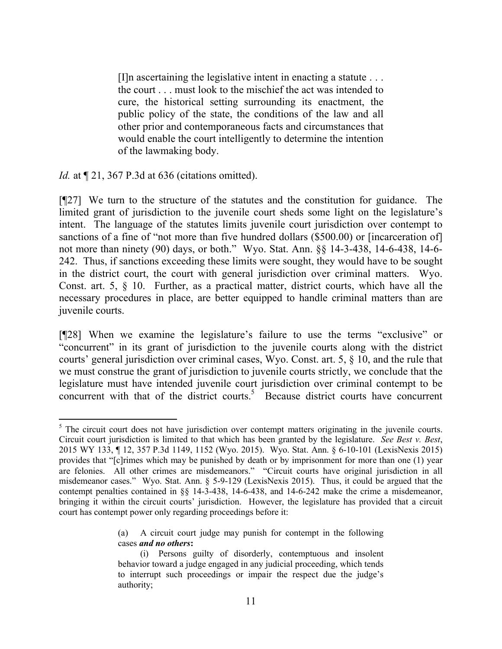[I]n ascertaining the legislative intent in enacting a statute . . . the court . . . must look to the mischief the act was intended to cure, the historical setting surrounding its enactment, the public policy of the state, the conditions of the law and all other prior and contemporaneous facts and circumstances that would enable the court intelligently to determine the intention of the lawmaking body.

*Id.* at  $\P$  21, 367 P.3d at 636 (citations omitted).

[¶27] We turn to the structure of the statutes and the constitution for guidance. The limited grant of jurisdiction to the juvenile court sheds some light on the legislature's intent. The language of the statutes limits juvenile court jurisdiction over contempt to sanctions of a fine of "not more than five hundred dollars (\$500.00) or [incarceration of] not more than ninety (90) days, or both." Wyo. Stat. Ann. §§ 14-3-438, 14-6-438, 14-6- 242. Thus, if sanctions exceeding these limits were sought, they would have to be sought in the district court, the court with general jurisdiction over criminal matters. Wyo. Const. art. 5, § 10. Further, as a practical matter, district courts, which have all the necessary procedures in place, are better equipped to handle criminal matters than are juvenile courts.

[¶28] When we examine the legislature's failure to use the terms "exclusive" or "concurrent" in its grant of jurisdiction to the juvenile courts along with the district courts' general jurisdiction over criminal cases, Wyo. Const. art. 5, § 10, and the rule that we must construe the grant of jurisdiction to juvenile courts strictly, we conclude that the legislature must have intended juvenile court jurisdiction over criminal contempt to be concurrent with that of the district courts. 5 Because district courts have concurrent

(a) A circuit court judge may punish for contempt in the following cases *and no others***:**

  $<sup>5</sup>$  The circuit court does not have jurisdiction over contempt matters originating in the juvenile courts.</sup> Circuit court jurisdiction is limited to that which has been granted by the legislature. *See Best v. Best*, 2015 WY 133, ¶ 12, 357 P.3d 1149, 1152 (Wyo. 2015). Wyo. Stat. Ann. § 6-10-101 (LexisNexis 2015) provides that "[c]rimes which may be punished by death or by imprisonment for more than one (1) year are felonies. All other crimes are misdemeanors." "Circuit courts have original jurisdiction in all misdemeanor cases." Wyo. Stat. Ann. § 5-9-129 (LexisNexis 2015). Thus, it could be argued that the contempt penalties contained in §§ 14-3-438, 14-6-438, and 14-6-242 make the crime a misdemeanor, bringing it within the circuit courts' jurisdiction. However, the legislature has provided that a circuit court has contempt power only regarding proceedings before it:

<sup>(</sup>i) Persons guilty of disorderly, contemptuous and insolent behavior toward a judge engaged in any judicial proceeding, which tends to interrupt such proceedings or impair the respect due the judge's authority;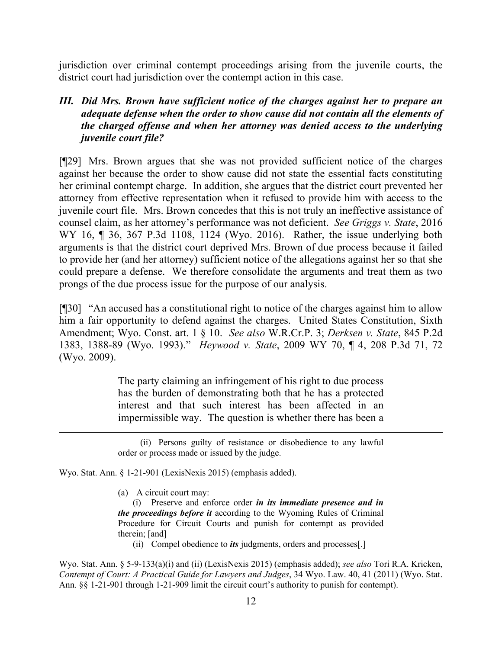jurisdiction over criminal contempt proceedings arising from the juvenile courts, the district court had jurisdiction over the contempt action in this case.

## *III. Did Mrs. Brown have sufficient notice of the charges against her to prepare an adequate defense when the order to show cause did not contain all the elements of the charged offense and when her attorney was denied access to the underlying juvenile court file?*

[¶29] Mrs. Brown argues that she was not provided sufficient notice of the charges against her because the order to show cause did not state the essential facts constituting her criminal contempt charge. In addition, she argues that the district court prevented her attorney from effective representation when it refused to provide him with access to the juvenile court file. Mrs. Brown concedes that this is not truly an ineffective assistance of counsel claim, as her attorney's performance was not deficient. *See Griggs v. State*, 2016 WY 16, ¶ 36, 367 P.3d 1108, 1124 (Wyo. 2016). Rather, the issue underlying both arguments is that the district court deprived Mrs. Brown of due process because it failed to provide her (and her attorney) sufficient notice of the allegations against her so that she could prepare a defense. We therefore consolidate the arguments and treat them as two prongs of the due process issue for the purpose of our analysis.

[¶30] "An accused has a constitutional right to notice of the charges against him to allow him a fair opportunity to defend against the charges. United States Constitution, Sixth Amendment; Wyo. Const. art. 1 § 10. *See also* W.R.Cr.P. 3; *Derksen v. State*, 845 P.2d 1383, 1388-89 (Wyo. 1993)." *Heywood v. State*, 2009 WY 70, ¶ 4, 208 P.3d 71, 72 (Wyo. 2009).

> The party claiming an infringement of his right to due process has the burden of demonstrating both that he has a protected interest and that such interest has been affected in an impermissible way. The question is whether there has been a

Wyo. Stat. Ann. § 1-21-901 (LexisNexis 2015) (emphasis added).

(a) A circuit court may:

(i) Preserve and enforce order *in its immediate presence and in the proceedings before it* according to the Wyoming Rules of Criminal Procedure for Circuit Courts and punish for contempt as provided therein; [and]

(ii) Compel obedience to *its* judgments, orders and processes[.]

Wyo. Stat. Ann. § 5-9-133(a)(i) and (ii) (LexisNexis 2015) (emphasis added); *see also* Tori R.A. Kricken, *Contempt of Court: A Practical Guide for Lawyers and Judges*, 34 Wyo. Law. 40, 41 (2011) (Wyo. Stat. Ann. §§ 1-21-901 through 1-21-909 limit the circuit court's authority to punish for contempt).

<sup>(</sup>ii) Persons guilty of resistance or disobedience to any lawful order or process made or issued by the judge.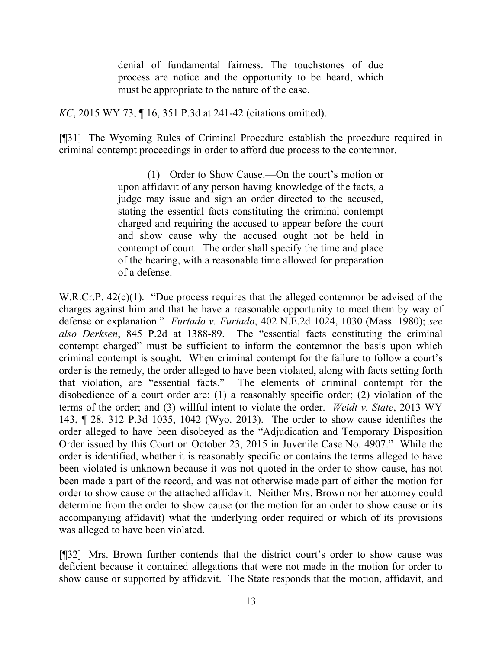denial of fundamental fairness. The touchstones of due process are notice and the opportunity to be heard, which must be appropriate to the nature of the case.

*KC*, 2015 WY 73, ¶ 16, 351 P.3d at 241-42 (citations omitted).

[¶31] The Wyoming Rules of Criminal Procedure establish the procedure required in criminal contempt proceedings in order to afford due process to the contemnor.

> (1) Order to Show Cause.—On the court's motion or upon affidavit of any person having knowledge of the facts, a judge may issue and sign an order directed to the accused, stating the essential facts constituting the criminal contempt charged and requiring the accused to appear before the court and show cause why the accused ought not be held in contempt of court. The order shall specify the time and place of the hearing, with a reasonable time allowed for preparation of a defense.

W.R.Cr.P. 42(c)(1). "Due process requires that the alleged contemnor be advised of the charges against him and that he have a reasonable opportunity to meet them by way of defense or explanation." *Furtado v. Furtado*, 402 N.E.2d 1024, 1030 (Mass. 1980); *see also Derksen*, 845 P.2d at 1388-89. The "essential facts constituting the criminal contempt charged" must be sufficient to inform the contemnor the basis upon which criminal contempt is sought. When criminal contempt for the failure to follow a court's order is the remedy, the order alleged to have been violated, along with facts setting forth that violation, are "essential facts." The elements of criminal contempt for the disobedience of a court order are: (1) a reasonably specific order; (2) violation of the terms of the order; and (3) willful intent to violate the order. *Weidt v. State*, 2013 WY 143, ¶ 28, 312 P.3d 1035, 1042 (Wyo. 2013). The order to show cause identifies the order alleged to have been disobeyed as the "Adjudication and Temporary Disposition Order issued by this Court on October 23, 2015 in Juvenile Case No. 4907." While the order is identified, whether it is reasonably specific or contains the terms alleged to have been violated is unknown because it was not quoted in the order to show cause, has not been made a part of the record, and was not otherwise made part of either the motion for order to show cause or the attached affidavit. Neither Mrs. Brown nor her attorney could determine from the order to show cause (or the motion for an order to show cause or its accompanying affidavit) what the underlying order required or which of its provisions was alleged to have been violated.

[¶32] Mrs. Brown further contends that the district court's order to show cause was deficient because it contained allegations that were not made in the motion for order to show cause or supported by affidavit. The State responds that the motion, affidavit, and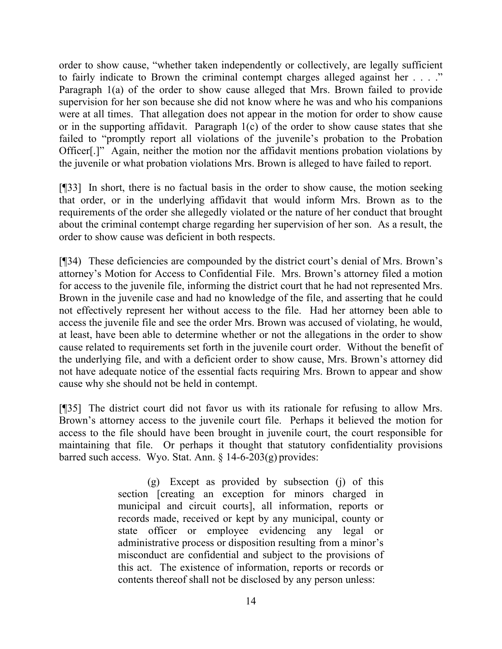order to show cause, "whether taken independently or collectively, are legally sufficient to fairly indicate to Brown the criminal contempt charges alleged against her . . . ." Paragraph 1(a) of the order to show cause alleged that Mrs. Brown failed to provide supervision for her son because she did not know where he was and who his companions were at all times. That allegation does not appear in the motion for order to show cause or in the supporting affidavit. Paragraph 1(c) of the order to show cause states that she failed to "promptly report all violations of the juvenile's probation to the Probation Officer[.]" Again, neither the motion nor the affidavit mentions probation violations by the juvenile or what probation violations Mrs. Brown is alleged to have failed to report.

[¶33] In short, there is no factual basis in the order to show cause, the motion seeking that order, or in the underlying affidavit that would inform Mrs. Brown as to the requirements of the order she allegedly violated or the nature of her conduct that brought about the criminal contempt charge regarding her supervision of her son. As a result, the order to show cause was deficient in both respects.

[¶34) These deficiencies are compounded by the district court's denial of Mrs. Brown's attorney's Motion for Access to Confidential File. Mrs. Brown's attorney filed a motion for access to the juvenile file, informing the district court that he had not represented Mrs. Brown in the juvenile case and had no knowledge of the file, and asserting that he could not effectively represent her without access to the file. Had her attorney been able to access the juvenile file and see the order Mrs. Brown was accused of violating, he would, at least, have been able to determine whether or not the allegations in the order to show cause related to requirements set forth in the juvenile court order. Without the benefit of the underlying file, and with a deficient order to show cause, Mrs. Brown's attorney did not have adequate notice of the essential facts requiring Mrs. Brown to appear and show cause why she should not be held in contempt.

[¶35] The district court did not favor us with its rationale for refusing to allow Mrs. Brown's attorney access to the juvenile court file. Perhaps it believed the motion for access to the file should have been brought in juvenile court, the court responsible for maintaining that file. Or perhaps it thought that statutory confidentiality provisions barred such access. Wyo. Stat. Ann. § 14-6-203(g) provides:

> (g) Except as provided by subsection (j) of this section [creating an exception for minors charged in municipal and circuit courts], all information, reports or records made, received or kept by any municipal, county or state officer or employee evidencing any legal or administrative process or disposition resulting from a minor's misconduct are confidential and subject to the provisions of this act. The existence of information, reports or records or contents thereof shall not be disclosed by any person unless: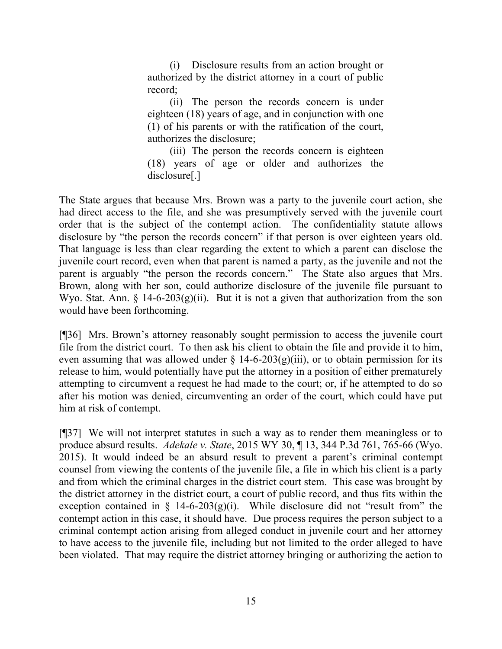(i) Disclosure results from an action brought or authorized by the district attorney in a court of public record;

(ii) The person the records concern is under eighteen (18) years of age, and in conjunction with one (1) of his parents or with the ratification of the court, authorizes the disclosure;

(iii) The person the records concern is eighteen (18) years of age or older and authorizes the disclosure[.]

The State argues that because Mrs. Brown was a party to the juvenile court action, she had direct access to the file, and she was presumptively served with the juvenile court order that is the subject of the contempt action. The confidentiality statute allows disclosure by "the person the records concern" if that person is over eighteen years old. That language is less than clear regarding the extent to which a parent can disclose the juvenile court record, even when that parent is named a party, as the juvenile and not the parent is arguably "the person the records concern." The State also argues that Mrs. Brown, along with her son, could authorize disclosure of the juvenile file pursuant to Wyo. Stat. Ann.  $\S$  14-6-203(g)(ii). But it is not a given that authorization from the son would have been forthcoming.

[¶36] Mrs. Brown's attorney reasonably sought permission to access the juvenile court file from the district court. To then ask his client to obtain the file and provide it to him, even assuming that was allowed under  $\S$  14-6-203(g)(iii), or to obtain permission for its release to him, would potentially have put the attorney in a position of either prematurely attempting to circumvent a request he had made to the court; or, if he attempted to do so after his motion was denied, circumventing an order of the court, which could have put him at risk of contempt.

[¶37] We will not interpret statutes in such a way as to render them meaningless or to produce absurd results. *Adekale v. State*, 2015 WY 30, ¶ 13, 344 P.3d 761, 765-66 (Wyo. 2015). It would indeed be an absurd result to prevent a parent's criminal contempt counsel from viewing the contents of the juvenile file, a file in which his client is a party and from which the criminal charges in the district court stem. This case was brought by the district attorney in the district court, a court of public record, and thus fits within the exception contained in  $\S$  14-6-203(g)(i). While disclosure did not "result from" the contempt action in this case, it should have. Due process requires the person subject to a criminal contempt action arising from alleged conduct in juvenile court and her attorney to have access to the juvenile file, including but not limited to the order alleged to have been violated. That may require the district attorney bringing or authorizing the action to